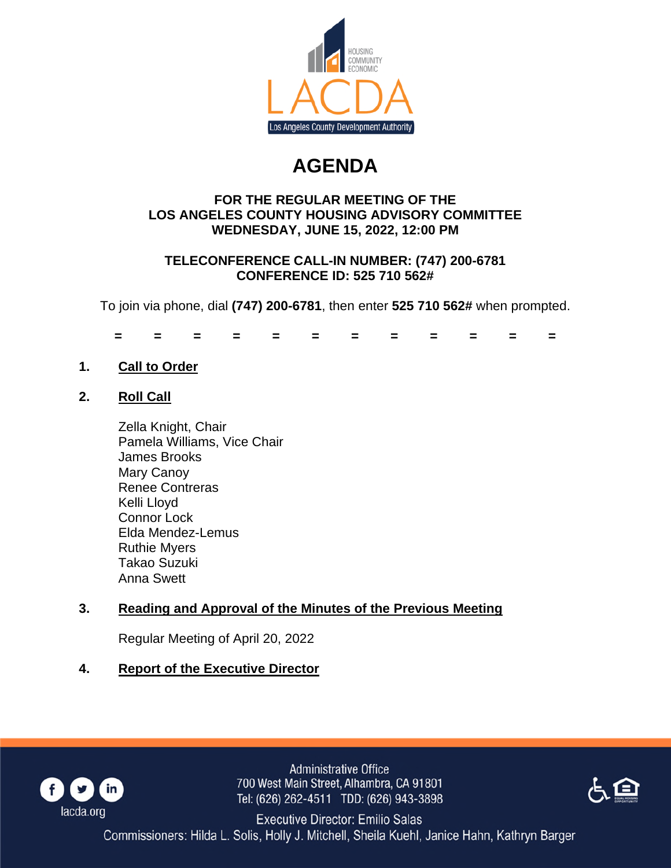

# **AGENDA**

## **FOR THE REGULAR MEETING OF THE LOS ANGELES COUNTY HOUSING ADVISORY COMMITTEE WEDNESDAY, JUNE 15, 2022, 12:00 PM**

## **TELECONFERENCE CALL-IN NUMBER: (747) 200-6781 CONFERENCE ID: 525 710 562#**

To join via phone, dial **(747) 200-6781**, then enter **525 710 562#** when prompted.

**= = = = = = = = = = = =**

**1. Call to Order**

# **2. Roll Call**

Zella Knight, Chair Pamela Williams, Vice Chair James Brooks Mary Canoy Renee Contreras Kelli Lloyd Connor Lock Elda Mendez-Lemus Ruthie Myers Takao Suzuki Anna Swett

# **3. Reading and Approval of the Minutes of the Previous Meeting**

Regular Meeting of April 20, 2022

# **4. Report of the Executive Director**



**Administrative Office** 700 West Main Street, Alhambra, CA 91801 Tel: (626) 262-4511 TDD: (626) 943-3898



**Executive Director: Emilio Salas** Commissioners: Hilda L. Solis, Holly J. Mitchell, Sheila Kuehl, Janice Hahn, Kathryn Barger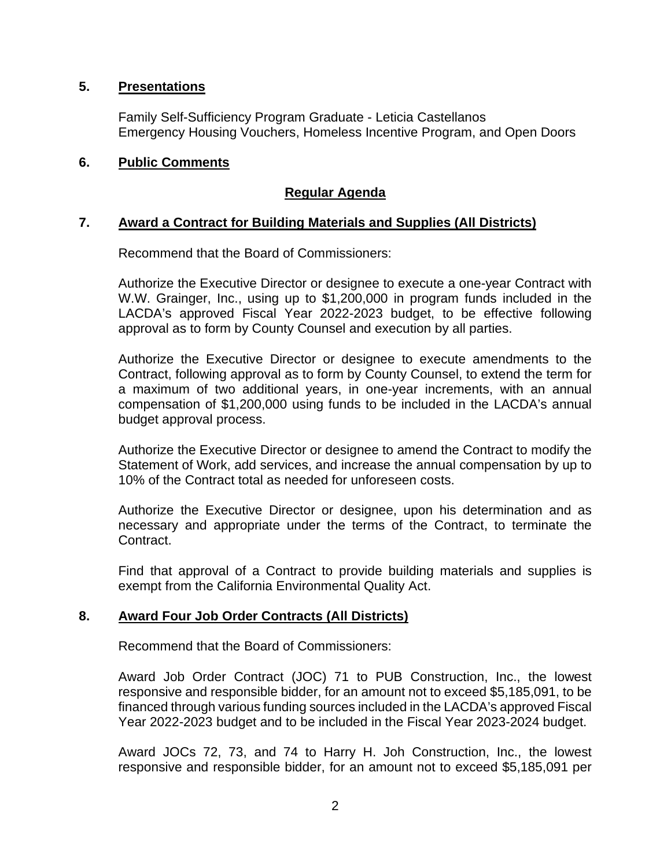## **5. Presentations**

Family Self-Sufficiency Program Graduate - Leticia Castellanos Emergency Housing Vouchers, Homeless Incentive Program, and Open Doors

## **6. Public Comments**

## **Regular Agenda**

## **7. Award a Contract for Building Materials and Supplies (All Districts)**

Recommend that the Board of Commissioners:

Authorize the Executive Director or designee to execute a one-year Contract with W.W. Grainger, Inc., using up to \$1,200,000 in program funds included in the LACDA's approved Fiscal Year 2022-2023 budget, to be effective following approval as to form by County Counsel and execution by all parties.

Authorize the Executive Director or designee to execute amendments to the Contract, following approval as to form by County Counsel, to extend the term for a maximum of two additional years, in one-year increments, with an annual compensation of \$1,200,000 using funds to be included in the LACDA's annual budget approval process.

Authorize the Executive Director or designee to amend the Contract to modify the Statement of Work, add services, and increase the annual compensation by up to 10% of the Contract total as needed for unforeseen costs.

Authorize the Executive Director or designee, upon his determination and as necessary and appropriate under the terms of the Contract, to terminate the Contract.

Find that approval of a Contract to provide building materials and supplies is exempt from the California Environmental Quality Act.

## **8. Award Four Job Order Contracts (All Districts)**

Recommend that the Board of Commissioners:

Award Job Order Contract (JOC) 71 to PUB Construction, Inc., the lowest responsive and responsible bidder, for an amount not to exceed \$5,185,091, to be financed through various funding sources included in the LACDA's approved Fiscal Year 2022-2023 budget and to be included in the Fiscal Year 2023-2024 budget.

Award JOCs 72, 73, and 74 to Harry H. Joh Construction, Inc., the lowest responsive and responsible bidder, for an amount not to exceed \$5,185,091 per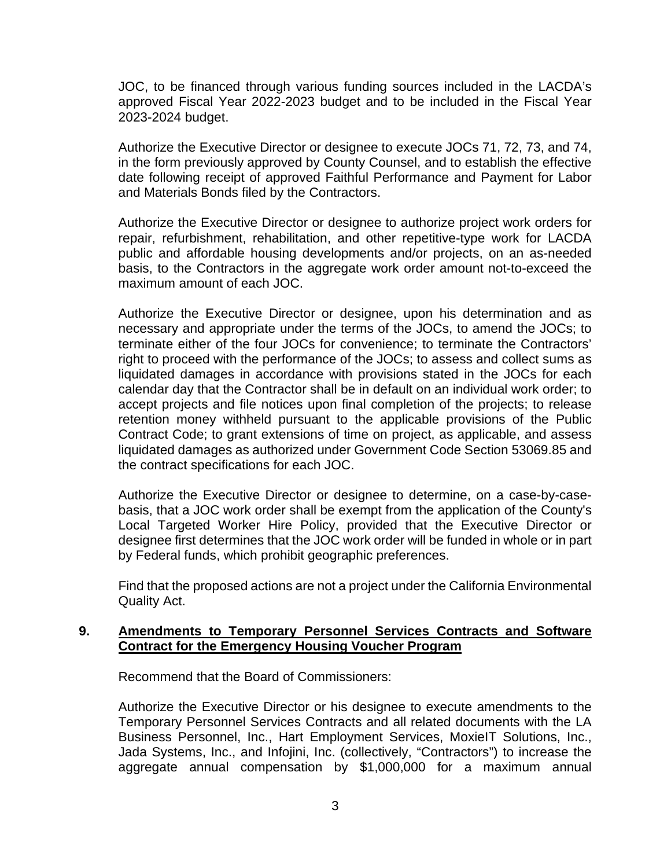JOC, to be financed through various funding sources included in the LACDA's approved Fiscal Year 2022-2023 budget and to be included in the Fiscal Year 2023-2024 budget.

Authorize the Executive Director or designee to execute JOCs 71, 72, 73, and 74, in the form previously approved by County Counsel, and to establish the effective date following receipt of approved Faithful Performance and Payment for Labor and Materials Bonds filed by the Contractors.

Authorize the Executive Director or designee to authorize project work orders for repair, refurbishment, rehabilitation, and other repetitive-type work for LACDA public and affordable housing developments and/or projects, on an as-needed basis, to the Contractors in the aggregate work order amount not-to-exceed the maximum amount of each JOC.

Authorize the Executive Director or designee, upon his determination and as necessary and appropriate under the terms of the JOCs, to amend the JOCs; to terminate either of the four JOCs for convenience; to terminate the Contractors' right to proceed with the performance of the JOCs; to assess and collect sums as liquidated damages in accordance with provisions stated in the JOCs for each calendar day that the Contractor shall be in default on an individual work order; to accept projects and file notices upon final completion of the projects; to release retention money withheld pursuant to the applicable provisions of the Public Contract Code; to grant extensions of time on project, as applicable, and assess liquidated damages as authorized under Government Code Section 53069.85 and the contract specifications for each JOC.

Authorize the Executive Director or designee to determine, on a case-by-casebasis, that a JOC work order shall be exempt from the application of the County's Local Targeted Worker Hire Policy, provided that the Executive Director or designee first determines that the JOC work order will be funded in whole or in part by Federal funds, which prohibit geographic preferences.

Find that the proposed actions are not a project under the California Environmental Quality Act.

## **9. Amendments to Temporary Personnel Services Contracts and Software Contract for the Emergency Housing Voucher Program**

Recommend that the Board of Commissioners:

Authorize the Executive Director or his designee to execute amendments to the Temporary Personnel Services Contracts and all related documents with the LA Business Personnel, Inc., Hart Employment Services, MoxieIT Solutions, Inc., Jada Systems, Inc., and Infojini, Inc. (collectively, "Contractors") to increase the aggregate annual compensation by \$1,000,000 for a maximum annual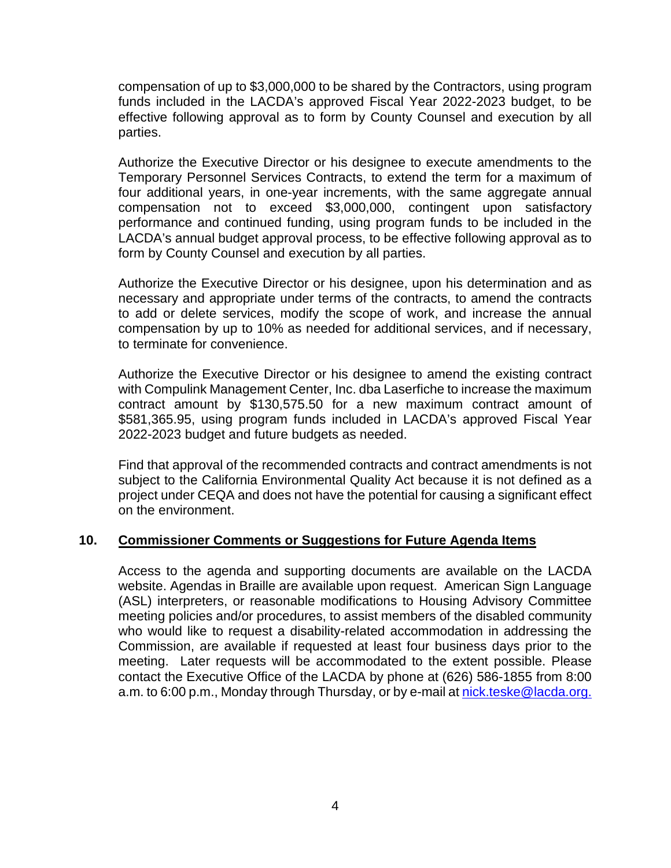compensation of up to \$3,000,000 to be shared by the Contractors, using program funds included in the LACDA's approved Fiscal Year 2022-2023 budget, to be effective following approval as to form by County Counsel and execution by all parties.

Authorize the Executive Director or his designee to execute amendments to the Temporary Personnel Services Contracts, to extend the term for a maximum of four additional years, in one-year increments, with the same aggregate annual compensation not to exceed \$3,000,000, contingent upon satisfactory performance and continued funding, using program funds to be included in the LACDA's annual budget approval process, to be effective following approval as to form by County Counsel and execution by all parties.

Authorize the Executive Director or his designee, upon his determination and as necessary and appropriate under terms of the contracts, to amend the contracts to add or delete services, modify the scope of work, and increase the annual compensation by up to 10% as needed for additional services, and if necessary, to terminate for convenience.

Authorize the Executive Director or his designee to amend the existing contract with Compulink Management Center, Inc. dba Laserfiche to increase the maximum contract amount by \$130,575.50 for a new maximum contract amount of \$581,365.95, using program funds included in LACDA's approved Fiscal Year 2022-2023 budget and future budgets as needed.

Find that approval of the recommended contracts and contract amendments is not subject to the California Environmental Quality Act because it is not defined as a project under CEQA and does not have the potential for causing a significant effect on the environment.

## **10. Commissioner Comments or Suggestions for Future Agenda Items**

Access to the agenda and supporting documents are available on the LACDA website. Agendas in Braille are available upon request. American Sign Language (ASL) interpreters, or reasonable modifications to Housing Advisory Committee meeting policies and/or procedures, to assist members of the disabled community who would like to request a disability-related accommodation in addressing the Commission, are available if requested at least four business days prior to the meeting. Later requests will be accommodated to the extent possible. Please contact the Executive Office of the LACDA by phone at (626) 586-1855 from 8:00 a.m. to 6:00 p.m., Monday through Thursday, or by e-mail at nick.teske@lacda.org.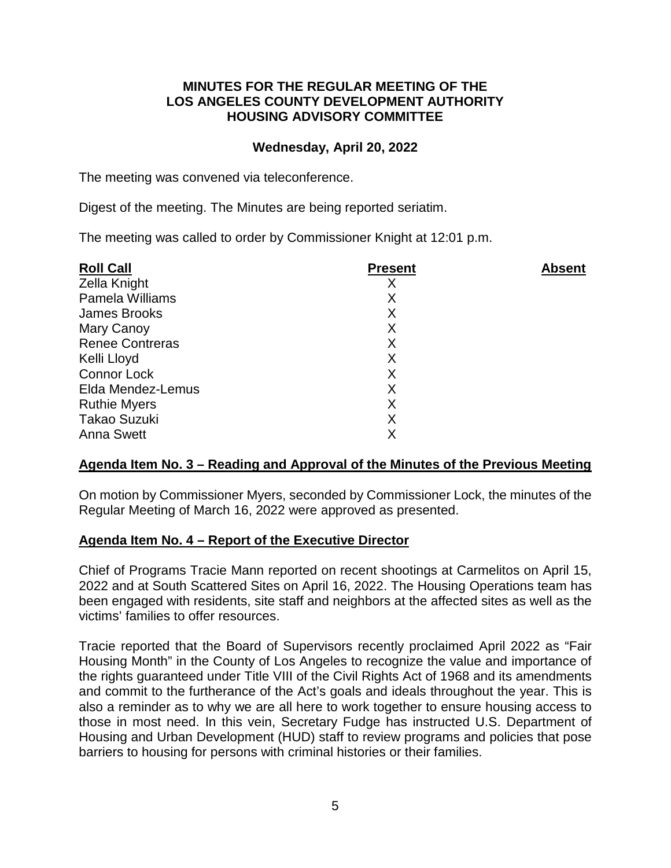## **MINUTES FOR THE REGULAR MEETING OF THE LOS ANGELES COUNTY DEVELOPMENT AUTHORITY HOUSING ADVISORY COMMITTEE**

## **Wednesday, April 20, 2022**

The meeting was convened via teleconference.

Digest of the meeting. The Minutes are being reported seriatim.

The meeting was called to order by Commissioner Knight at 12:01 p.m.

| <b>Roll Call</b>       | <b>Present</b> | <b>Absent</b> |
|------------------------|----------------|---------------|
| Zella Knight           |                |               |
| Pamela Williams        | Χ              |               |
| James Brooks           | X              |               |
| Mary Canoy             | X              |               |
| <b>Renee Contreras</b> | X              |               |
| Kelli Lloyd            | X              |               |
| <b>Connor Lock</b>     | X              |               |
| Elda Mendez-Lemus      | X              |               |
| <b>Ruthie Myers</b>    | Χ              |               |
| <b>Takao Suzuki</b>    | Χ              |               |
| <b>Anna Swett</b>      | Χ              |               |
|                        |                |               |

## **Agenda Item No. 3 – Reading and Approval of the Minutes of the Previous Meeting**

On motion by Commissioner Myers, seconded by Commissioner Lock, the minutes of the Regular Meeting of March 16, 2022 were approved as presented.

## **Agenda Item No. 4 – Report of the Executive Director**

Chief of Programs Tracie Mann reported on recent shootings at Carmelitos on April 15, 2022 and at South Scattered Sites on April 16, 2022. The Housing Operations team has been engaged with residents, site staff and neighbors at the affected sites as well as the victims' families to offer resources.

Tracie reported that the Board of Supervisors recently proclaimed April 2022 as "Fair Housing Month" in the County of Los Angeles to recognize the value and importance of the rights guaranteed under Title VIII of the Civil Rights Act of 1968 and its amendments and commit to the furtherance of the Act's goals and ideals throughout the year. This is also a reminder as to why we are all here to work together to ensure housing access to those in most need. In this vein, Secretary Fudge has instructed U.S. Department of Housing and Urban Development (HUD) staff to review programs and policies that pose barriers to housing for persons with criminal histories or their families.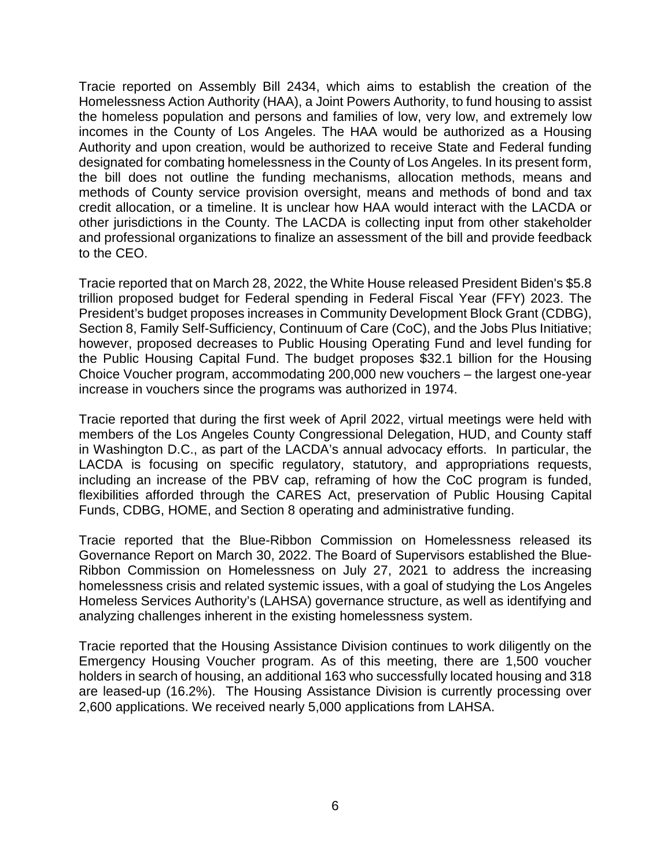Tracie reported on Assembly Bill 2434, which aims to establish the creation of the Homelessness Action Authority (HAA), a Joint Powers Authority, to fund housing to assist the homeless population and persons and families of low, very low, and extremely low incomes in the County of Los Angeles. The HAA would be authorized as a Housing Authority and upon creation, would be authorized to receive State and Federal funding designated for combating homelessness in the County of Los Angeles. In its present form, the bill does not outline the funding mechanisms, allocation methods, means and methods of County service provision oversight, means and methods of bond and tax credit allocation, or a timeline. It is unclear how HAA would interact with the LACDA or other jurisdictions in the County. The LACDA is collecting input from other stakeholder and professional organizations to finalize an assessment of the bill and provide feedback to the CEO.

Tracie reported that on March 28, 2022, the White House released President Biden's \$5.8 trillion proposed budget for Federal spending in Federal Fiscal Year (FFY) 2023. The President's budget proposes increases in Community Development Block Grant (CDBG), Section 8, Family Self-Sufficiency, Continuum of Care (CoC), and the Jobs Plus Initiative; however, proposed decreases to Public Housing Operating Fund and level funding for the Public Housing Capital Fund. The budget proposes \$32.1 billion for the Housing Choice Voucher program, accommodating 200,000 new vouchers – the largest one-year increase in vouchers since the programs was authorized in 1974.

Tracie reported that during the first week of April 2022, virtual meetings were held with members of the Los Angeles County Congressional Delegation, HUD, and County staff in Washington D.C., as part of the LACDA's annual advocacy efforts. In particular, the LACDA is focusing on specific regulatory, statutory, and appropriations requests, including an increase of the PBV cap, reframing of how the CoC program is funded, flexibilities afforded through the CARES Act, preservation of Public Housing Capital Funds, CDBG, HOME, and Section 8 operating and administrative funding.

Tracie reported that the Blue-Ribbon Commission on Homelessness released its Governance Report on March 30, 2022. The Board of Supervisors established the Blue-Ribbon Commission on Homelessness on July 27, 2021 to address the increasing homelessness crisis and related systemic issues, with a goal of studying the Los Angeles Homeless Services Authority's (LAHSA) governance structure, as well as identifying and analyzing challenges inherent in the existing homelessness system.

Tracie reported that the Housing Assistance Division continues to work diligently on the Emergency Housing Voucher program. As of this meeting, there are 1,500 voucher holders in search of housing, an additional 163 who successfully located housing and 318 are leased-up (16.2%). The Housing Assistance Division is currently processing over 2,600 applications. We received nearly 5,000 applications from LAHSA.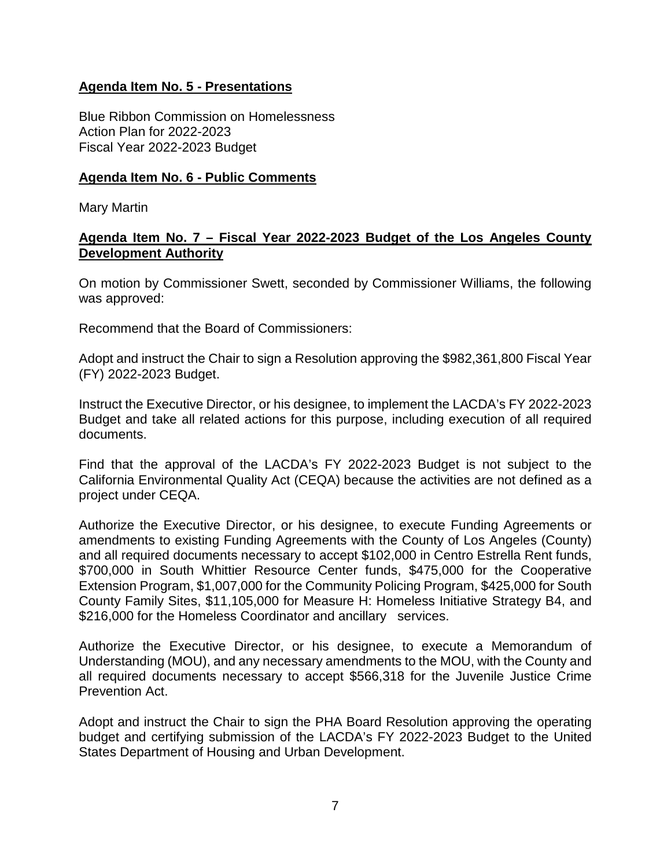## **Agenda Item No. 5 - Presentations**

Blue Ribbon Commission on Homelessness Action Plan for 2022-2023 Fiscal Year 2022-2023 Budget

#### **Agenda Item No. 6 - Public Comments**

Mary Martin

#### **Agenda Item No. 7 – Fiscal Year 2022-2023 Budget of the Los Angeles County Development Authority**

On motion by Commissioner Swett, seconded by Commissioner Williams, the following was approved:

Recommend that the Board of Commissioners:

Adopt and instruct the Chair to sign a Resolution approving the \$982,361,800 Fiscal Year (FY) 2022-2023 Budget.

Instruct the Executive Director, or his designee, to implement the LACDA's FY 2022-2023 Budget and take all related actions for this purpose, including execution of all required documents.

Find that the approval of the LACDA's FY 2022-2023 Budget is not subject to the California Environmental Quality Act (CEQA) because the activities are not defined as a project under CEQA.

Authorize the Executive Director, or his designee, to execute Funding Agreements or amendments to existing Funding Agreements with the County of Los Angeles (County) and all required documents necessary to accept \$102,000 in Centro Estrella Rent funds, \$700,000 in South Whittier Resource Center funds, \$475,000 for the Cooperative Extension Program, \$1,007,000 for the Community Policing Program, \$425,000 for South County Family Sites, \$11,105,000 for Measure H: Homeless Initiative Strategy B4, and \$216,000 for the Homeless Coordinator and ancillary services.

Authorize the Executive Director, or his designee, to execute a Memorandum of Understanding (MOU), and any necessary amendments to the MOU, with the County and all required documents necessary to accept \$566,318 for the Juvenile Justice Crime Prevention Act.

Adopt and instruct the Chair to sign the PHA Board Resolution approving the operating budget and certifying submission of the LACDA's FY 2022-2023 Budget to the United States Department of Housing and Urban Development.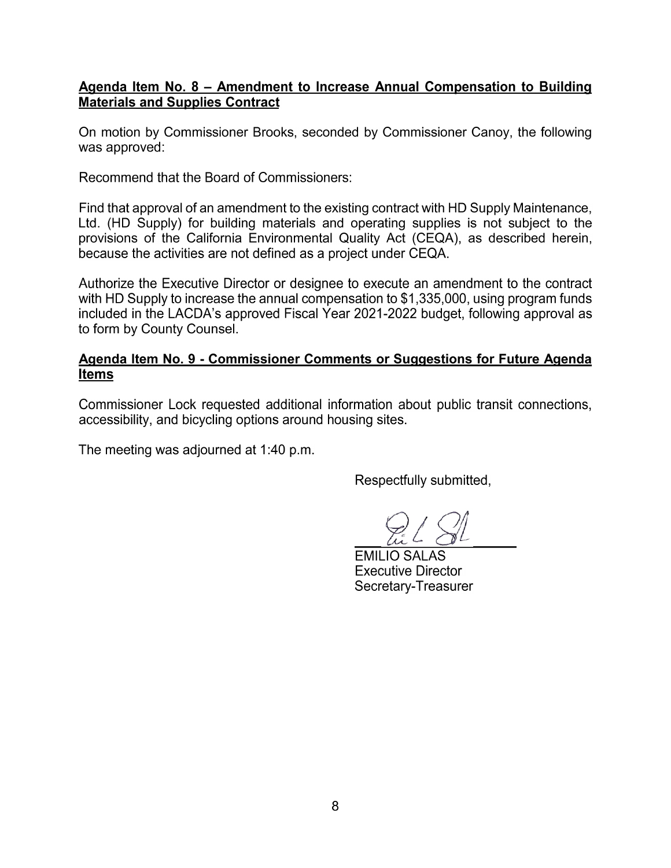## Agenda Item No. 8 - Amendment to Increase Annual Compensation to Building **Materials and Supplies Contract**

On motion by Commissioner Brooks, seconded by Commissioner Canoy, the following was approved:

Recommend that the Board of Commissioners:

Find that approval of an amendment to the existing contract with HD Supply Maintenance, Ltd. (HD Supply) for building materials and operating supplies is not subject to the provisions of the California Environmental Quality Act (CEQA), as described herein, because the activities are not defined as a project under CEQA.

Authorize the Executive Director or designee to execute an amendment to the contract with HD Supply to increase the annual compensation to \$1,335,000, using program funds included in the LACDA's approved Fiscal Year 2021-2022 budget, following approval as to form by County Counsel.

## Agenda Item No. 9 - Commissioner Comments or Suggestions for Future Agenda **Items**

Commissioner Lock requested additional information about public transit connections, accessibility, and bicycling options around housing sites.

The meeting was adjourned at 1:40 p.m.

Respectfully submitted,

**EMILIO SALAS Executive Director** Secretary-Treasurer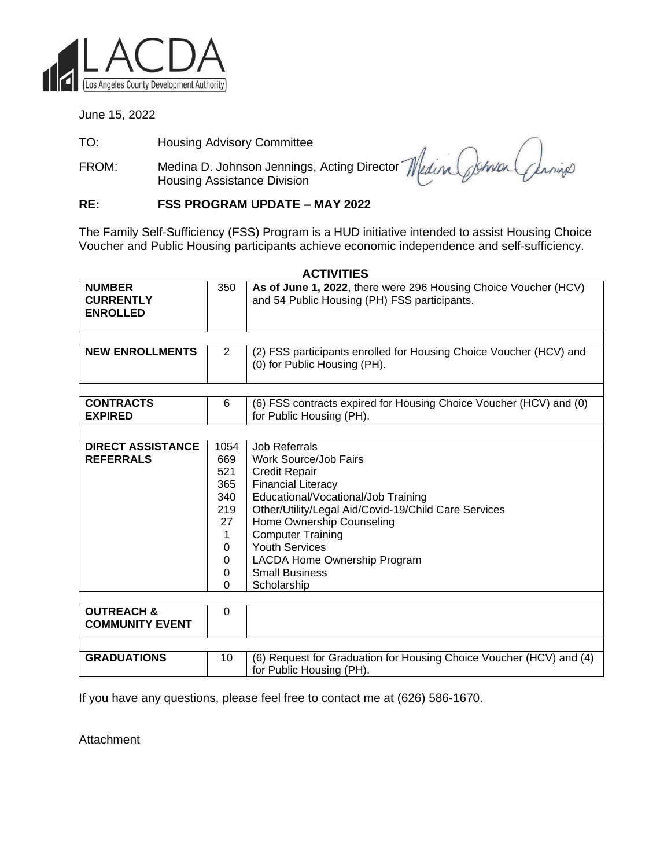

June 15, 2022

TO: Housing Advisory Committee

FROM: Medina D. Johnson Jennings, Acting Director Housing Assistance Division

Janings

#### **RE: FSS PROGRAM UPDATE – MAY 2022**

The Family Self-Sufficiency (FSS) Program is a HUD initiative intended to assist Housing Choice Voucher and Public Housing participants achieve economic independence and self-sufficiency.

|                          |                | AUIIVIILO                                                           |
|--------------------------|----------------|---------------------------------------------------------------------|
| <b>NUMBER</b>            | 350            | As of June 1, 2022, there were 296 Housing Choice Voucher (HCV)     |
| <b>CURRENTLY</b>         |                | and 54 Public Housing (PH) FSS participants.                        |
| <b>ENROLLED</b>          |                |                                                                     |
|                          |                |                                                                     |
|                          |                |                                                                     |
| <b>NEW ENROLLMENTS</b>   | $\overline{2}$ | (2) FSS participants enrolled for Housing Choice Voucher (HCV) and  |
|                          |                | (0) for Public Housing (PH).                                        |
|                          |                |                                                                     |
|                          |                |                                                                     |
| <b>CONTRACTS</b>         | 6              | (6) FSS contracts expired for Housing Choice Voucher (HCV) and (0)  |
| <b>EXPIRED</b>           |                | for Public Housing (PH).                                            |
|                          |                |                                                                     |
| <b>DIRECT ASSISTANCE</b> | 1054           | <b>Job Referrals</b>                                                |
| <b>REFERRALS</b>         | 669            | Work Source/Job Fairs                                               |
|                          | 521            | <b>Credit Repair</b>                                                |
|                          | 365            | <b>Financial Literacy</b>                                           |
|                          | 340            | Educational/Vocational/Job Training                                 |
|                          | 219            | Other/Utility/Legal Aid/Covid-19/Child Care Services                |
|                          | 27             | Home Ownership Counseling                                           |
|                          |                |                                                                     |
|                          | 1              | <b>Computer Training</b>                                            |
|                          | 0              | <b>Youth Services</b>                                               |
|                          | $\Omega$       | LACDA Home Ownership Program                                        |
|                          | 0              | <b>Small Business</b>                                               |
|                          | $\Omega$       | Scholarship                                                         |
|                          |                |                                                                     |
| <b>OUTREACH &amp;</b>    | 0              |                                                                     |
| <b>COMMUNITY EVENT</b>   |                |                                                                     |
|                          |                |                                                                     |
| <b>GRADUATIONS</b>       | 10             | (6) Request for Graduation for Housing Choice Voucher (HCV) and (4) |
|                          |                | for Public Housing (PH).                                            |
|                          |                |                                                                     |

**ACTIVITIES**

If you have any questions, please feel free to contact me at (626) 586-1670.

Attachment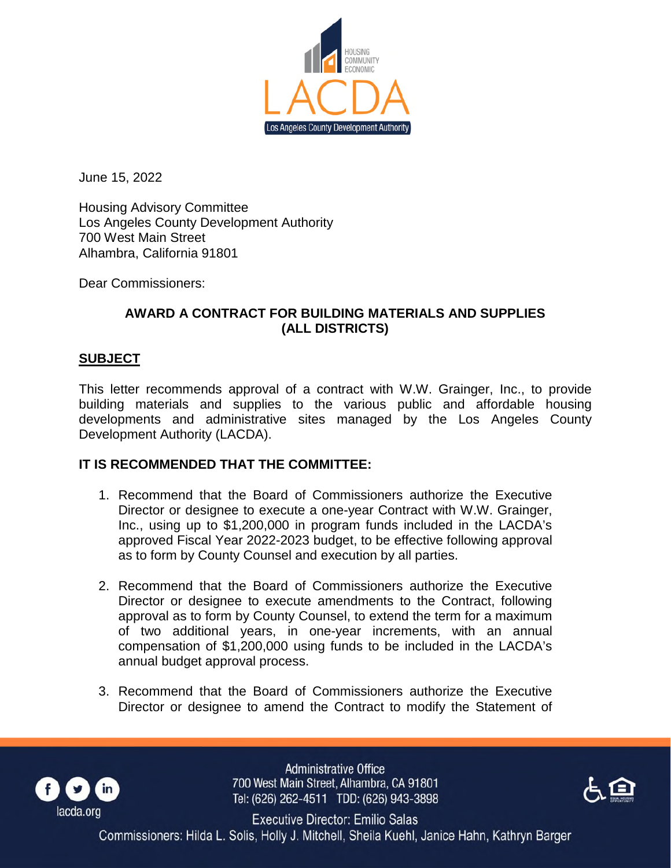

June 15, 2022

Housing Advisory Committee Los Angeles County Development Authority 700 West Main Street Alhambra, California 91801

Dear Commissioners:

## **AWARD A CONTRACT FOR BUILDING MATERIALS AND SUPPLIES (ALL DISTRICTS)**

#### **SUBJECT**

This letter recommends approval of a contract with W.W. Grainger, Inc., to provide building materials and supplies to the various public and affordable housing developments and administrative sites managed by the Los Angeles County Development Authority (LACDA).

## **IT IS RECOMMENDED THAT THE COMMITTEE:**

- 1. Recommend that the Board of Commissioners authorize the Executive Director or designee to execute a one-year Contract with W.W. Grainger, Inc., using up to \$1,200,000 in program funds included in the LACDA's approved Fiscal Year 2022-2023 budget, to be effective following approval as to form by County Counsel and execution by all parties.
- 2. Recommend that the Board of Commissioners authorize the Executive Director or designee to execute amendments to the Contract, following approval as to form by County Counsel, to extend the term for a maximum of two additional years, in one-year increments, with an annual compensation of \$1,200,000 using funds to be included in the LACDA's annual budget approval process.
- 3. Recommend that the Board of Commissioners authorize the Executive Director or designee to amend the Contract to modify the Statement of



**Administrative Office** 700 West Main Street, Alhambra, CA 91801 Tel: (626) 262-4511 TDD: (626) 943-3898



Executive Director: Emilio Salas Commissioners: Hilda L. Solis, Holly J. Mitchell, Sheila Kuehl, Janice Hahn, Kathryn Barger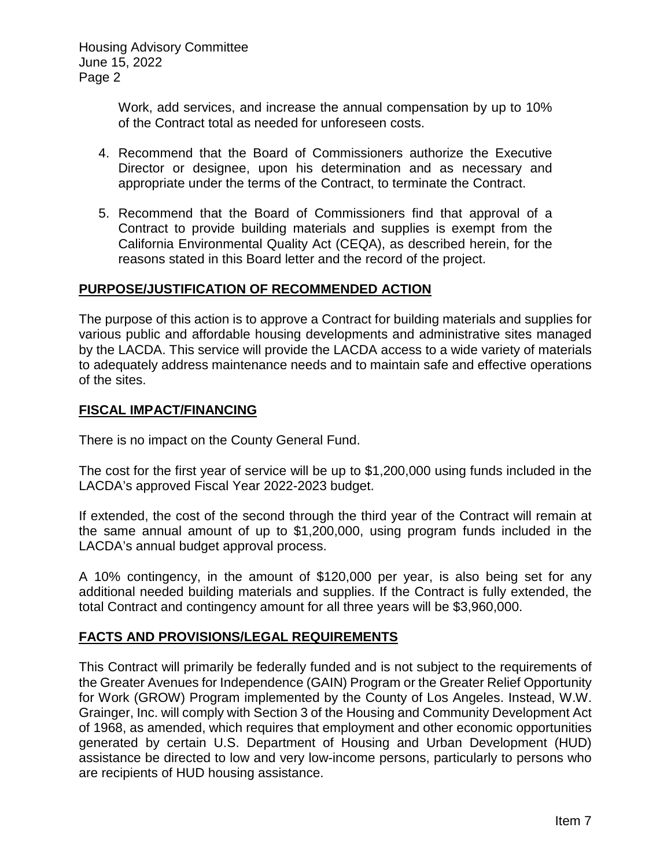> Work, add services, and increase the annual compensation by up to 10% of the Contract total as needed for unforeseen costs.

- 4. Recommend that the Board of Commissioners authorize the Executive Director or designee, upon his determination and as necessary and appropriate under the terms of the Contract, to terminate the Contract.
- 5. Recommend that the Board of Commissioners find that approval of a Contract to provide building materials and supplies is exempt from the California Environmental Quality Act (CEQA), as described herein, for the reasons stated in this Board letter and the record of the project.

#### **PURPOSE/JUSTIFICATION OF RECOMMENDED ACTION**

The purpose of this action is to approve a Contract for building materials and supplies for various public and affordable housing developments and administrative sites managed by the LACDA. This service will provide the LACDA access to a wide variety of materials to adequately address maintenance needs and to maintain safe and effective operations of the sites.

#### **FISCAL IMPACT/FINANCING**

There is no impact on the County General Fund.

The cost for the first year of service will be up to \$1,200,000 using funds included in the LACDA's approved Fiscal Year 2022-2023 budget.

If extended, the cost of the second through the third year of the Contract will remain at the same annual amount of up to \$1,200,000, using program funds included in the LACDA's annual budget approval process.

A 10% contingency, in the amount of \$120,000 per year, is also being set for any additional needed building materials and supplies. If the Contract is fully extended, the total Contract and contingency amount for all three years will be \$3,960,000.

## **FACTS AND PROVISIONS/LEGAL REQUIREMENTS**

This Contract will primarily be federally funded and is not subject to the requirements of the Greater Avenues for Independence (GAIN) Program or the Greater Relief Opportunity for Work (GROW) Program implemented by the County of Los Angeles. Instead, W.W. Grainger, Inc. will comply with Section 3 of the Housing and Community Development Act of 1968, as amended, which requires that employment and other economic opportunities generated by certain U.S. Department of Housing and Urban Development (HUD) assistance be directed to low and very low-income persons, particularly to persons who are recipients of HUD housing assistance.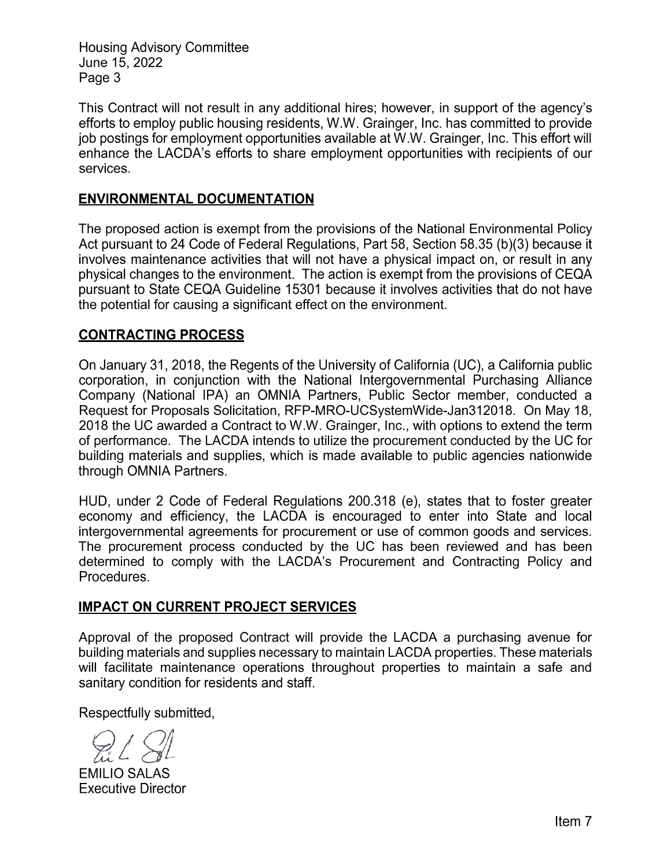This Contract will not result in any additional hires; however, in support of the agency's efforts to employ public housing residents, W.W. Grainger, Inc. has committed to provide job postings for employment opportunities available at W.W. Grainger, Inc. This effort will enhance the LACDA's efforts to share employment opportunities with recipients of our services.

## **ENVIRONMENTAL DOCUMENTATION**

The proposed action is exempt from the provisions of the National Environmental Policy Act pursuant to 24 Code of Federal Regulations, Part 58, Section 58.35 (b)(3) because it involves maintenance activities that will not have a physical impact on, or result in any physical changes to the environment. The action is exempt from the provisions of CEQA pursuant to State CEQA Guideline 15301 because it involves activities that do not have the potential for causing a significant effect on the environment.

# **CONTRACTING PROCESS**

On January 31, 2018, the Regents of the University of California (UC), a California public corporation, in conjunction with the National Intergovernmental Purchasing Alliance Company (National IPA) an OMNIA Partners, Public Sector member, conducted a Request for Proposals Solicitation, RFP-MRO-UCSystemWide-Jan312018. On May 18, 2018 the UC awarded a Contract to W.W. Grainger, Inc., with options to extend the term of performance. The LACDA intends to utilize the procurement conducted by the UC for building materials and supplies, which is made available to public agencies nationwide through OMNIA Partners.

HUD, under 2 Code of Federal Regulations 200.318 (e), states that to foster greater economy and efficiency, the LACDA is encouraged to enter into State and local intergovernmental agreements for procurement or use of common goods and services. The procurement process conducted by the UC has been reviewed and has been determined to comply with the LACDA's Procurement and Contracting Policy and Procedures.

## **IMPACT ON CURRENT PROJECT SERVICES**

Approval of the proposed Contract will provide the LACDA a purchasing avenue for building materials and supplies necessary to maintain LACDA properties. These materials will facilitate maintenance operations throughout properties to maintain a safe and sanitary condition for residents and staff.

Respectfully submitted,

**EMILIO SALAS Executive Director**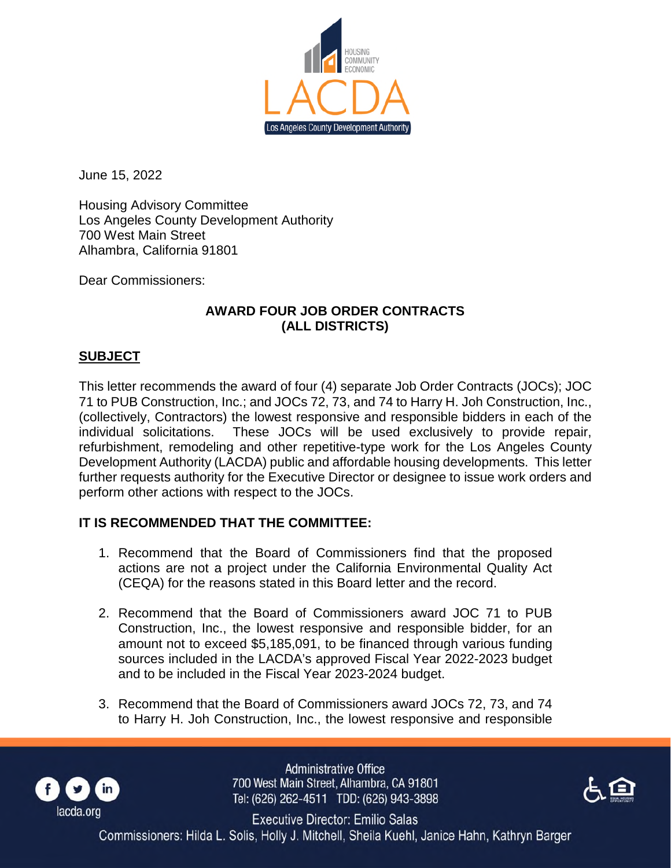

June 15, 2022

Housing Advisory Committee Los Angeles County Development Authority 700 West Main Street Alhambra, California 91801

Dear Commissioners:

## **AWARD FOUR JOB ORDER CONTRACTS (ALL DISTRICTS)**

## **SUBJECT**

This letter recommends the award of four (4) separate Job Order Contracts (JOCs); JOC 71 to PUB Construction, Inc.; and JOCs 72, 73, and 74 to Harry H. Joh Construction, Inc., (collectively, Contractors) the lowest responsive and responsible bidders in each of the individual solicitations. These JOCs will be used exclusively to provide repair, refurbishment, remodeling and other repetitive-type work for the Los Angeles County Development Authority (LACDA) public and affordable housing developments. This letter further requests authority for the Executive Director or designee to issue work orders and perform other actions with respect to the JOCs.

## **IT IS RECOMMENDED THAT THE COMMITTEE:**

- 1. Recommend that the Board of Commissioners find that the proposed actions are not a project under the California Environmental Quality Act (CEQA) for the reasons stated in this Board letter and the record.
- 2. Recommend that the Board of Commissioners award JOC 71 to PUB Construction, Inc., the lowest responsive and responsible bidder, for an amount not to exceed \$5,185,091, to be financed through various funding sources included in the LACDA's approved Fiscal Year 2022-2023 budget and to be included in the Fiscal Year 2023-2024 budget.
- 3. Recommend that the Board of Commissioners award JOCs 72, 73, and 74 to Harry H. Joh Construction, Inc., the lowest responsive and responsible



**Administrative Office** 700 West Main Street, Alhambra, CA 91801 Tel: (626) 262-4511 TDD: (626) 943-3898



Executive Director: Emilio Salas Commissioners: Hilda L. Solis, Holly J. Mitchell, Sheila Kuehl, Janice Hahn, Kathryn Barger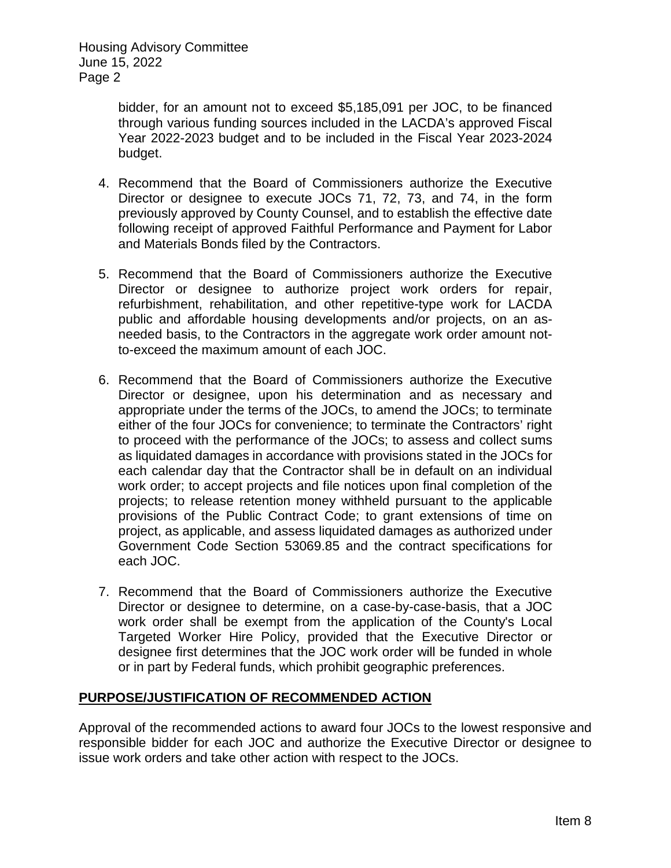> bidder, for an amount not to exceed \$5,185,091 per JOC, to be financed through various funding sources included in the LACDA's approved Fiscal Year 2022-2023 budget and to be included in the Fiscal Year 2023-2024 budget.

- 4. Recommend that the Board of Commissioners authorize the Executive Director or designee to execute JOCs 71, 72, 73, and 74, in the form previously approved by County Counsel, and to establish the effective date following receipt of approved Faithful Performance and Payment for Labor and Materials Bonds filed by the Contractors.
- 5. Recommend that the Board of Commissioners authorize the Executive Director or designee to authorize project work orders for repair, refurbishment, rehabilitation, and other repetitive-type work for LACDA public and affordable housing developments and/or projects, on an asneeded basis, to the Contractors in the aggregate work order amount notto-exceed the maximum amount of each JOC.
- 6. Recommend that the Board of Commissioners authorize the Executive Director or designee, upon his determination and as necessary and appropriate under the terms of the JOCs, to amend the JOCs; to terminate either of the four JOCs for convenience; to terminate the Contractors' right to proceed with the performance of the JOCs; to assess and collect sums as liquidated damages in accordance with provisions stated in the JOCs for each calendar day that the Contractor shall be in default on an individual work order; to accept projects and file notices upon final completion of the projects; to release retention money withheld pursuant to the applicable provisions of the Public Contract Code; to grant extensions of time on project, as applicable, and assess liquidated damages as authorized under Government Code Section 53069.85 and the contract specifications for each JOC.
- 7. Recommend that the Board of Commissioners authorize the Executive Director or designee to determine, on a case-by-case-basis, that a JOC work order shall be exempt from the application of the County's Local Targeted Worker Hire Policy, provided that the Executive Director or designee first determines that the JOC work order will be funded in whole or in part by Federal funds, which prohibit geographic preferences.

## **PURPOSE/JUSTIFICATION OF RECOMMENDED ACTION**

Approval of the recommended actions to award four JOCs to the lowest responsive and responsible bidder for each JOC and authorize the Executive Director or designee to issue work orders and take other action with respect to the JOCs.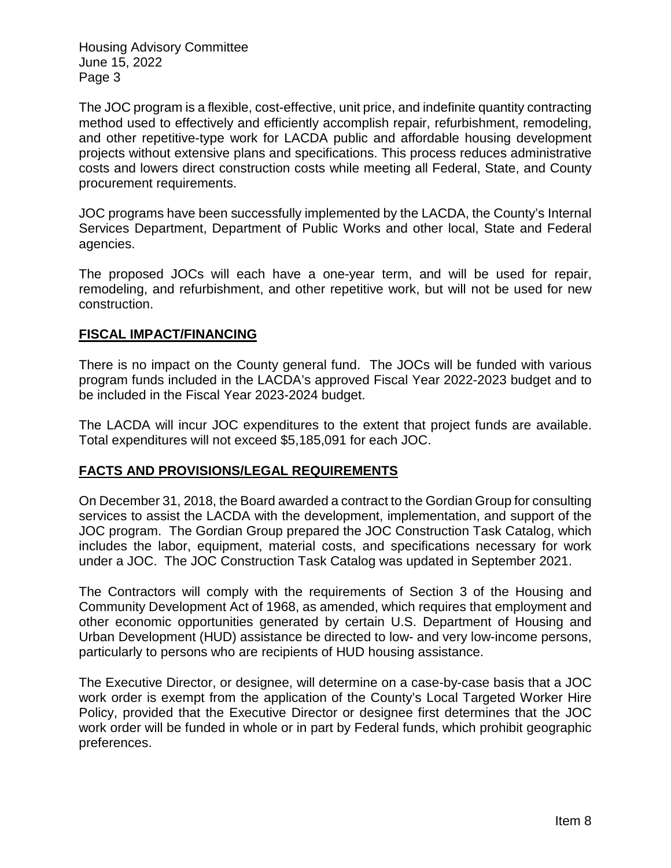The JOC program is a flexible, cost-effective, unit price, and indefinite quantity contracting method used to effectively and efficiently accomplish repair, refurbishment, remodeling, and other repetitive-type work for LACDA public and affordable housing development projects without extensive plans and specifications. This process reduces administrative costs and lowers direct construction costs while meeting all Federal, State, and County procurement requirements.

JOC programs have been successfully implemented by the LACDA, the County's Internal Services Department, Department of Public Works and other local, State and Federal agencies.

The proposed JOCs will each have a one-year term, and will be used for repair, remodeling, and refurbishment, and other repetitive work, but will not be used for new construction.

## **FISCAL IMPACT/FINANCING**

There is no impact on the County general fund. The JOCs will be funded with various program funds included in the LACDA's approved Fiscal Year 2022-2023 budget and to be included in the Fiscal Year 2023-2024 budget.

The LACDA will incur JOC expenditures to the extent that project funds are available. Total expenditures will not exceed \$5,185,091 for each JOC.

## **FACTS AND PROVISIONS/LEGAL REQUIREMENTS**

On December 31, 2018, the Board awarded a contract to the Gordian Group for consulting services to assist the LACDA with the development, implementation, and support of the JOC program. The Gordian Group prepared the JOC Construction Task Catalog, which includes the labor, equipment, material costs, and specifications necessary for work under a JOC. The JOC Construction Task Catalog was updated in September 2021.

The Contractors will comply with the requirements of Section 3 of the Housing and Community Development Act of 1968, as amended, which requires that employment and other economic opportunities generated by certain U.S. Department of Housing and Urban Development (HUD) assistance be directed to low- and very low-income persons, particularly to persons who are recipients of HUD housing assistance.

The Executive Director, or designee, will determine on a case-by-case basis that a JOC work order is exempt from the application of the County's Local Targeted Worker Hire Policy, provided that the Executive Director or designee first determines that the JOC work order will be funded in whole or in part by Federal funds, which prohibit geographic preferences.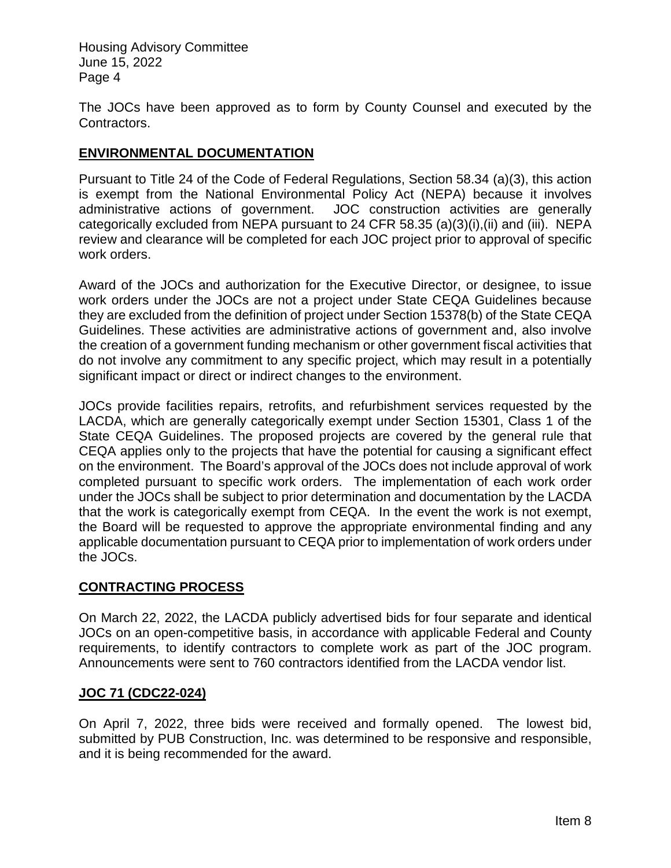The JOCs have been approved as to form by County Counsel and executed by the Contractors.

## **ENVIRONMENTAL DOCUMENTATION**

Pursuant to Title 24 of the Code of Federal Regulations, Section 58.34 (a)(3), this action is exempt from the National Environmental Policy Act (NEPA) because it involves administrative actions of government. JOC construction activities are generally categorically excluded from NEPA pursuant to 24 CFR 58.35 (a)(3)(i),(ii) and (iii). NEPA review and clearance will be completed for each JOC project prior to approval of specific work orders.

Award of the JOCs and authorization for the Executive Director, or designee, to issue work orders under the JOCs are not a project under State CEQA Guidelines because they are excluded from the definition of project under Section 15378(b) of the State CEQA Guidelines. These activities are administrative actions of government and, also involve the creation of a government funding mechanism or other government fiscal activities that do not involve any commitment to any specific project, which may result in a potentially significant impact or direct or indirect changes to the environment.

JOCs provide facilities repairs, retrofits, and refurbishment services requested by the LACDA, which are generally categorically exempt under Section 15301, Class 1 of the State CEQA Guidelines. The proposed projects are covered by the general rule that CEQA applies only to the projects that have the potential for causing a significant effect on the environment. The Board's approval of the JOCs does not include approval of work completed pursuant to specific work orders. The implementation of each work order under the JOCs shall be subject to prior determination and documentation by the LACDA that the work is categorically exempt from CEQA. In the event the work is not exempt, the Board will be requested to approve the appropriate environmental finding and any applicable documentation pursuant to CEQA prior to implementation of work orders under the JOCs.

## **CONTRACTING PROCESS**

On March 22, 2022, the LACDA publicly advertised bids for four separate and identical JOCs on an open-competitive basis, in accordance with applicable Federal and County requirements, to identify contractors to complete work as part of the JOC program. Announcements were sent to 760 contractors identified from the LACDA vendor list.

## **JOC 71 (CDC22-024)**

On April 7, 2022, three bids were received and formally opened. The lowest bid, submitted by PUB Construction, Inc. was determined to be responsive and responsible, and it is being recommended for the award.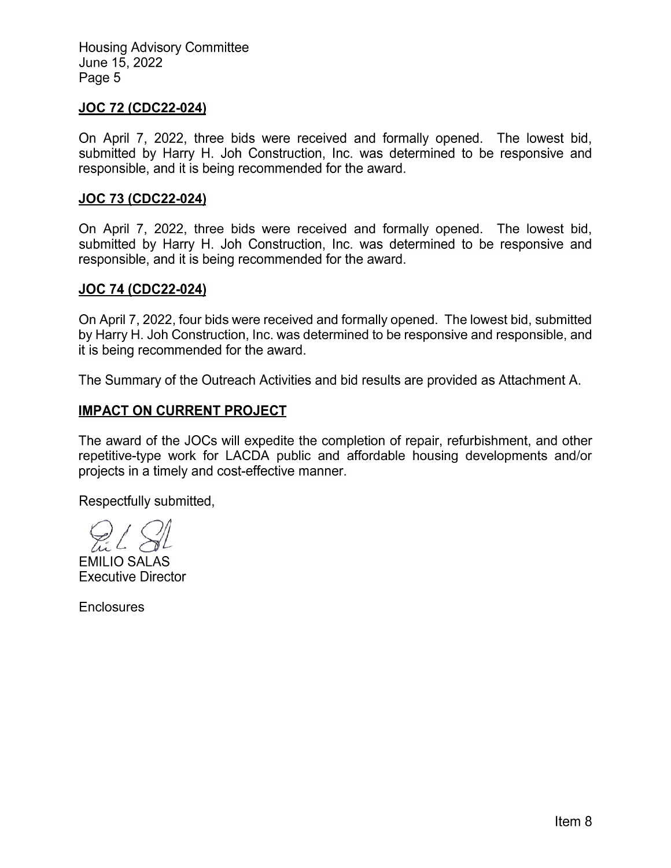#### **JOC 72 (CDC22-024)**

On April 7, 2022, three bids were received and formally opened. The lowest bid, submitted by Harry H. Joh Construction, Inc. was determined to be responsive and responsible, and it is being recommended for the award.

#### **JOC 73 (CDC22-024)**

On April 7, 2022, three bids were received and formally opened. The lowest bid, submitted by Harry H. Joh Construction, Inc. was determined to be responsive and responsible, and it is being recommended for the award.

#### **JOC 74 (CDC22-024)**

On April 7, 2022, four bids were received and formally opened. The lowest bid, submitted by Harry H. Joh Construction, Inc. was determined to be responsive and responsible, and it is being recommended for the award.

The Summary of the Outreach Activities and bid results are provided as Attachment A.

## **IMPACT ON CURRENT PROJECT**

The award of the JOCs will expedite the completion of repair, refurbishment, and other repetitive-type work for LACDA public and affordable housing developments and/or projects in a timely and cost-effective manner.

Respectfully submitted,

**EMILIO SALAS Executive Director** 

**Enclosures**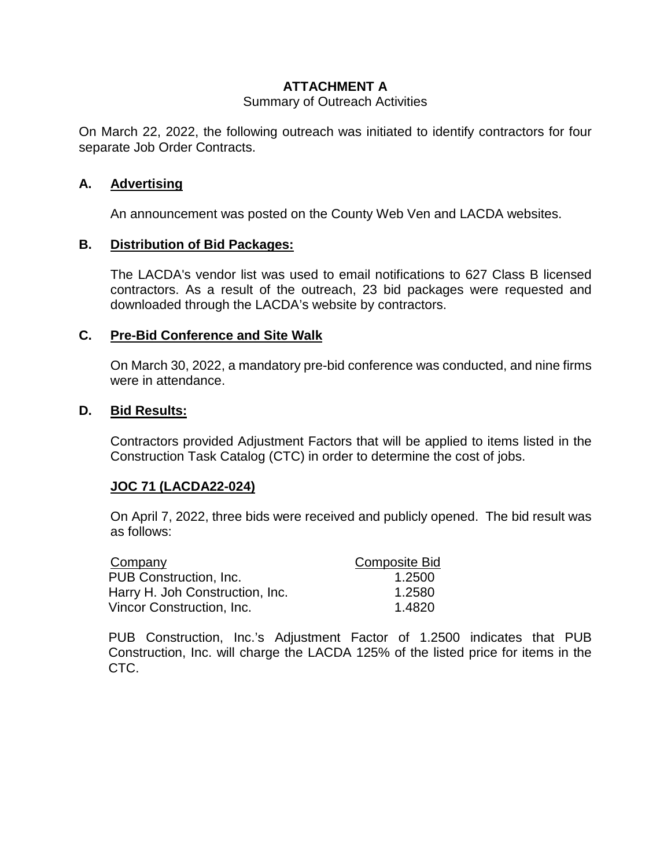## **ATTACHMENT A**

#### Summary of Outreach Activities

On March 22, 2022, the following outreach was initiated to identify contractors for four separate Job Order Contracts.

#### **A. Advertising**

An announcement was posted on the County Web Ven and LACDA websites.

#### **B. Distribution of Bid Packages:**

The LACDA's vendor list was used to email notifications to 627 Class B licensed contractors. As a result of the outreach, 23 bid packages were requested and downloaded through the LACDA's website by contractors.

#### **C. Pre-Bid Conference and Site Walk**

On March 30, 2022, a mandatory pre-bid conference was conducted, and nine firms were in attendance.

#### **D. Bid Results:**

Contractors provided Adjustment Factors that will be applied to items listed in the Construction Task Catalog (CTC) in order to determine the cost of jobs.

## **JOC 71 (LACDA22-024)**

On April 7, 2022, three bids were received and publicly opened. The bid result was as follows:

| Company                         | <b>Composite Bid</b> |
|---------------------------------|----------------------|
| PUB Construction, Inc.          | 1.2500               |
| Harry H. Joh Construction, Inc. | 1.2580               |
| Vincor Construction, Inc.       | 1.4820               |

PUB Construction, Inc.'s Adjustment Factor of 1.2500 indicates that PUB Construction, Inc. will charge the LACDA 125% of the listed price for items in the CTC.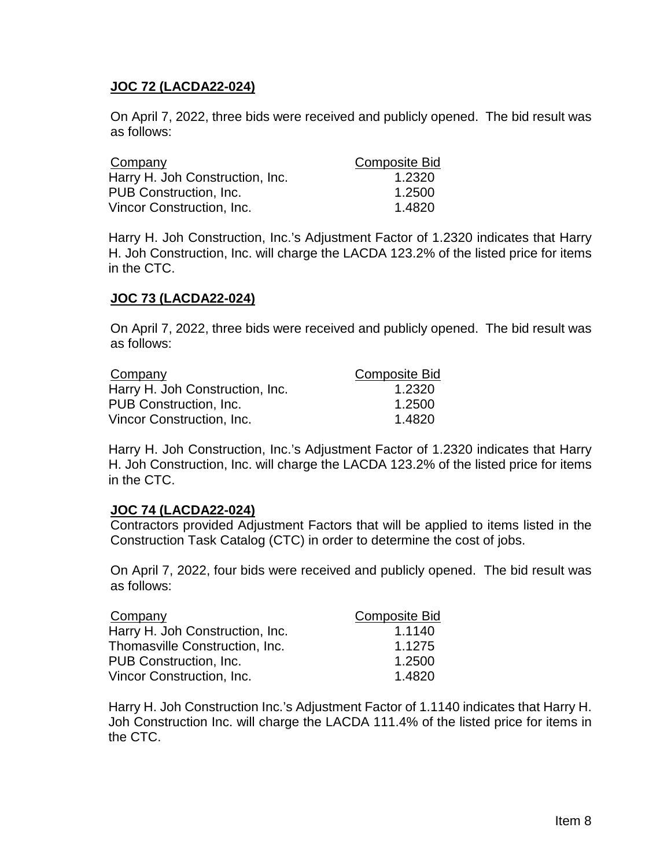## **JOC 72 (LACDA22-024)**

On April 7, 2022, three bids were received and publicly opened. The bid result was as follows:

| Company                         | <b>Composite Bid</b> |
|---------------------------------|----------------------|
| Harry H. Joh Construction, Inc. | 1.2320               |
| PUB Construction, Inc.          | 1.2500               |
| Vincor Construction, Inc.       | 1.4820               |

Harry H. Joh Construction, Inc.'s Adjustment Factor of 1.2320 indicates that Harry H. Joh Construction, Inc. will charge the LACDA 123.2% of the listed price for items in the CTC.

## **JOC 73 (LACDA22-024)**

On April 7, 2022, three bids were received and publicly opened. The bid result was as follows:

| Company                         | <b>Composite Bid</b> |
|---------------------------------|----------------------|
| Harry H. Joh Construction, Inc. | 1.2320               |
| PUB Construction, Inc.          | 1.2500               |
| Vincor Construction, Inc.       | 1.4820               |

Harry H. Joh Construction, Inc.'s Adjustment Factor of 1.2320 indicates that Harry H. Joh Construction, Inc. will charge the LACDA 123.2% of the listed price for items in the CTC.

## **JOC 74 (LACDA22-024)**

Contractors provided Adjustment Factors that will be applied to items listed in the Construction Task Catalog (CTC) in order to determine the cost of jobs.

On April 7, 2022, four bids were received and publicly opened. The bid result was as follows:

| Company                         | <b>Composite Bid</b> |
|---------------------------------|----------------------|
| Harry H. Joh Construction, Inc. | 1.1140               |
| Thomasville Construction, Inc.  | 1.1275               |
| PUB Construction, Inc.          | 1.2500               |
| Vincor Construction, Inc.       | 1.4820               |

Harry H. Joh Construction Inc.'s Adjustment Factor of 1.1140 indicates that Harry H. Joh Construction Inc. will charge the LACDA 111.4% of the listed price for items in the CTC.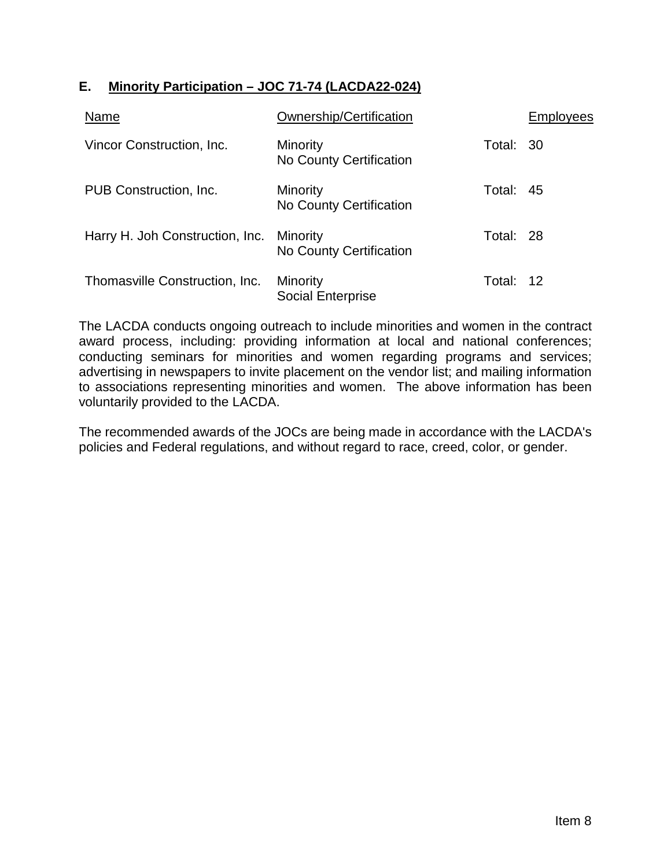# **E. Minority Participation – JOC 71-74 (LACDA22-024)**

| Name                            | Ownership/Certification             |           | Employees |
|---------------------------------|-------------------------------------|-----------|-----------|
| Vincor Construction, Inc.       | Minority<br>No County Certification | Total: 30 |           |
| PUB Construction, Inc.          | Minority<br>No County Certification | Total: 45 |           |
| Harry H. Joh Construction, Inc. | Minority<br>No County Certification | Total: 28 |           |
| Thomasville Construction, Inc.  | Minority<br>Social Enterprise       | Total: 12 |           |

The LACDA conducts ongoing outreach to include minorities and women in the contract award process, including: providing information at local and national conferences; conducting seminars for minorities and women regarding programs and services; advertising in newspapers to invite placement on the vendor list; and mailing information to associations representing minorities and women. The above information has been voluntarily provided to the LACDA.

The recommended awards of the JOCs are being made in accordance with the LACDA's policies and Federal regulations, and without regard to race, creed, color, or gender.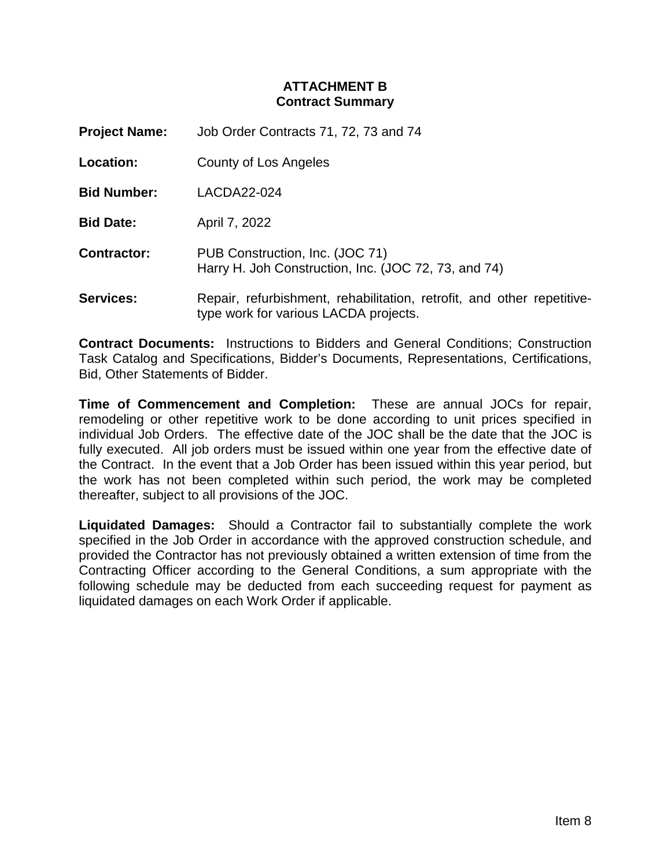## **ATTACHMENT B Contract Summary**

**Project Name:** Job Order Contracts 71, 72, 73 and 74

**Location:** County of Los Angeles

**Bid Number:** LACDA22-024

**Bid Date:** April 7, 2022

**Contractor:** PUB Construction, Inc. (JOC 71) Harry H. Joh Construction, Inc. (JOC 72, 73, and 74)

**Services:** Repair, refurbishment, rehabilitation, retrofit, and other repetitivetype work for various LACDA projects.

**Contract Documents:** Instructions to Bidders and General Conditions; Construction Task Catalog and Specifications, Bidder's Documents, Representations, Certifications, Bid, Other Statements of Bidder.

**Time of Commencement and Completion:** These are annual JOCs for repair, remodeling or other repetitive work to be done according to unit prices specified in individual Job Orders. The effective date of the JOC shall be the date that the JOC is fully executed. All job orders must be issued within one year from the effective date of the Contract. In the event that a Job Order has been issued within this year period, but the work has not been completed within such period, the work may be completed thereafter, subject to all provisions of the JOC.

**Liquidated Damages:** Should a Contractor fail to substantially complete the work specified in the Job Order in accordance with the approved construction schedule, and provided the Contractor has not previously obtained a written extension of time from the Contracting Officer according to the General Conditions, a sum appropriate with the following schedule may be deducted from each succeeding request for payment as liquidated damages on each Work Order if applicable.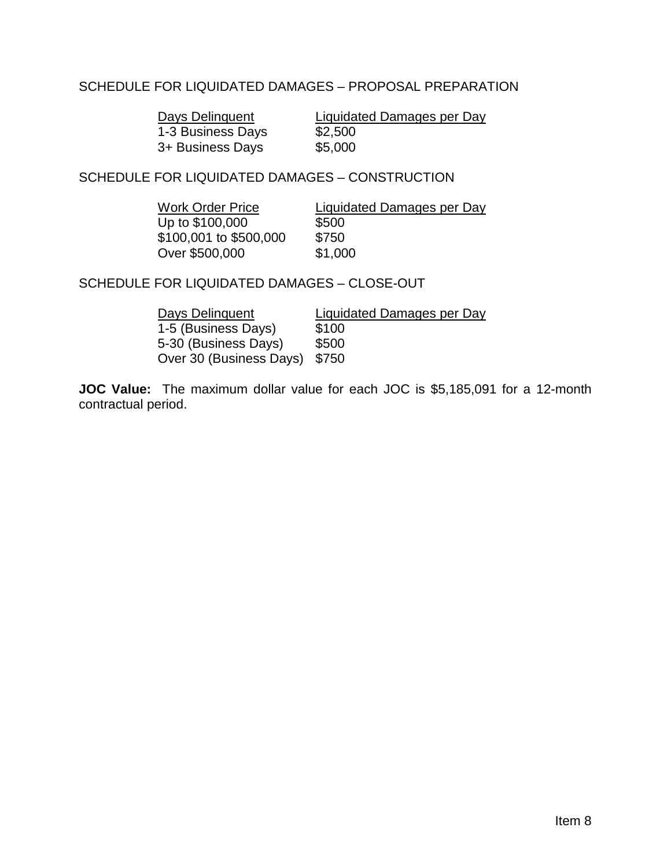## SCHEDULE FOR LIQUIDATED DAMAGES – PROPOSAL PREPARATION

1-3 Business Days \$2,500<br>3+ Business Days \$5,000 3+ Business Days

Days Delinquent Liquidated Damages per Day

SCHEDULE FOR LIQUIDATED DAMAGES – CONSTRUCTION

Work Order Price Liquidated Damages per Day  $Up to $100,000$   $$500$ \$100,001 to \$500,000 \$750 Over \$500,000 \$1,000

SCHEDULE FOR LIQUIDATED DAMAGES – CLOSE-OUT

| Days Delinguent         | Liquidated Damages per Day |
|-------------------------|----------------------------|
| 1-5 (Business Days)     | \$100                      |
| 5-30 (Business Days)    | \$500                      |
| Over 30 (Business Days) | \$750                      |

**JOC Value:** The maximum dollar value for each JOC is \$5,185,091 for a 12-month contractual period.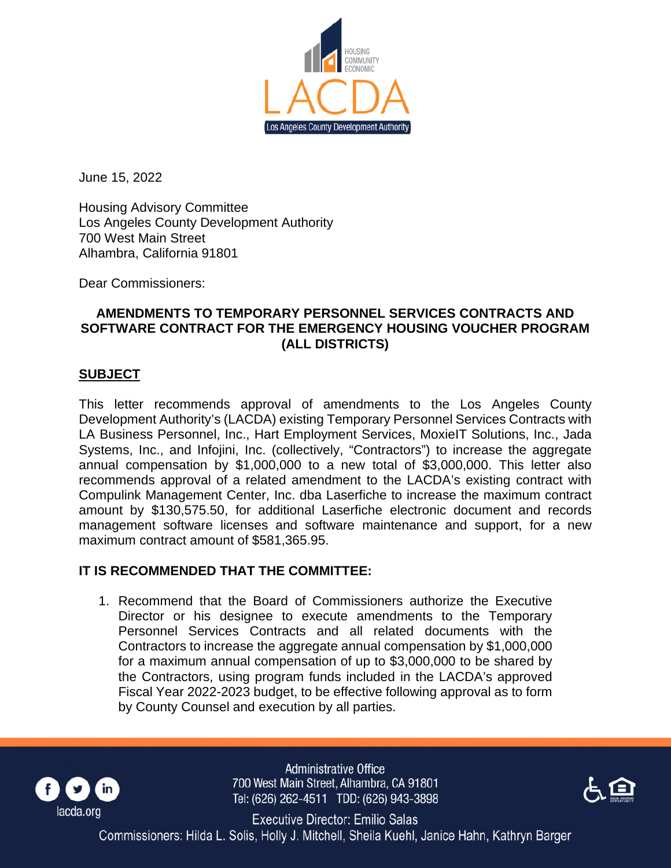

June 15, 2022

Housing Advisory Committee Los Angeles County Development Authority 700 West Main Street Alhambra, California 91801

Dear Commissioners:

## **AMENDMENTS TO TEMPORARY PERSONNEL SERVICES CONTRACTS AND SOFTWARE CONTRACT FOR THE EMERGENCY HOUSING VOUCHER PROGRAM (ALL DISTRICTS)**

#### **SUBJECT**

This letter recommends approval of amendments to the Los Angeles County Development Authority's (LACDA) existing Temporary Personnel Services Contracts with LA Business Personnel, Inc., Hart Employment Services, MoxieIT Solutions, Inc., Jada Systems, Inc., and Infojini, Inc. (collectively, "Contractors") to increase the aggregate annual compensation by \$1,000,000 to a new total of \$3,000,000. This letter also recommends approval of a related amendment to the LACDA's existing contract with Compulink Management Center, Inc. dba Laserfiche to increase the maximum contract amount by \$130,575.50, for additional Laserfiche electronic document and records management software licenses and software maintenance and support, for a new maximum contract amount of \$581,365.95.

## **IT IS RECOMMENDED THAT THE COMMITTEE:**

1. Recommend that the Board of Commissioners authorize the Executive Director or his designee to execute amendments to the Temporary Personnel Services Contracts and all related documents with the Contractors to increase the aggregate annual compensation by \$1,000,000 for a maximum annual compensation of up to \$3,000,000 to be shared by the Contractors, using program funds included in the LACDA's approved Fiscal Year 2022-2023 budget, to be effective following approval as to form by County Counsel and execution by all parties.



**Administrative Office** 700 West Main Street, Alhambra, CA 91801 Tel: (626) 262-4511 TDD: (626) 943-3898



**Executive Director: Emilio Salas** Commissioners: Hilda L. Solis, Holly J. Mitchell, Sheila Kuehl, Janice Hahn, Kathryn Barger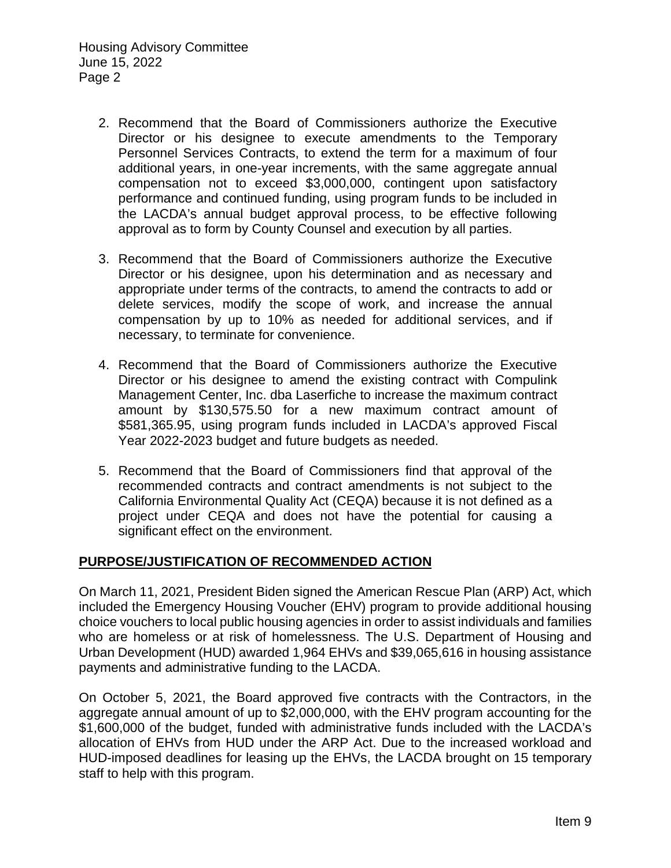- 2. Recommend that the Board of Commissioners authorize the Executive Director or his designee to execute amendments to the Temporary Personnel Services Contracts, to extend the term for a maximum of four additional years, in one-year increments, with the same aggregate annual compensation not to exceed \$3,000,000, contingent upon satisfactory performance and continued funding, using program funds to be included in the LACDA's annual budget approval process, to be effective following approval as to form by County Counsel and execution by all parties.
- 3. Recommend that the Board of Commissioners authorize the Executive Director or his designee, upon his determination and as necessary and appropriate under terms of the contracts, to amend the contracts to add or delete services, modify the scope of work, and increase the annual compensation by up to 10% as needed for additional services, and if necessary, to terminate for convenience.
- 4. Recommend that the Board of Commissioners authorize the Executive Director or his designee to amend the existing contract with Compulink Management Center, Inc. dba Laserfiche to increase the maximum contract amount by \$130,575.50 for a new maximum contract amount of \$581,365.95, using program funds included in LACDA's approved Fiscal Year 2022-2023 budget and future budgets as needed.
- 5. Recommend that the Board of Commissioners find that approval of the recommended contracts and contract amendments is not subject to the California Environmental Quality Act (CEQA) because it is not defined as a project under CEQA and does not have the potential for causing a significant effect on the environment.

#### **PURPOSE/JUSTIFICATION OF RECOMMENDED ACTION**

On March 11, 2021, President Biden signed the American Rescue Plan (ARP) Act, which included the Emergency Housing Voucher (EHV) program to provide additional housing choice vouchers to local public housing agencies in order to assist individuals and families who are homeless or at risk of homelessness. The U.S. Department of Housing and Urban Development (HUD) awarded 1,964 EHVs and \$39,065,616 in housing assistance payments and administrative funding to the LACDA.

On October 5, 2021, the Board approved five contracts with the Contractors, in the aggregate annual amount of up to \$2,000,000, with the EHV program accounting for the \$1,600,000 of the budget, funded with administrative funds included with the LACDA's allocation of EHVs from HUD under the ARP Act. Due to the increased workload and HUD-imposed deadlines for leasing up the EHVs, the LACDA brought on 15 temporary staff to help with this program.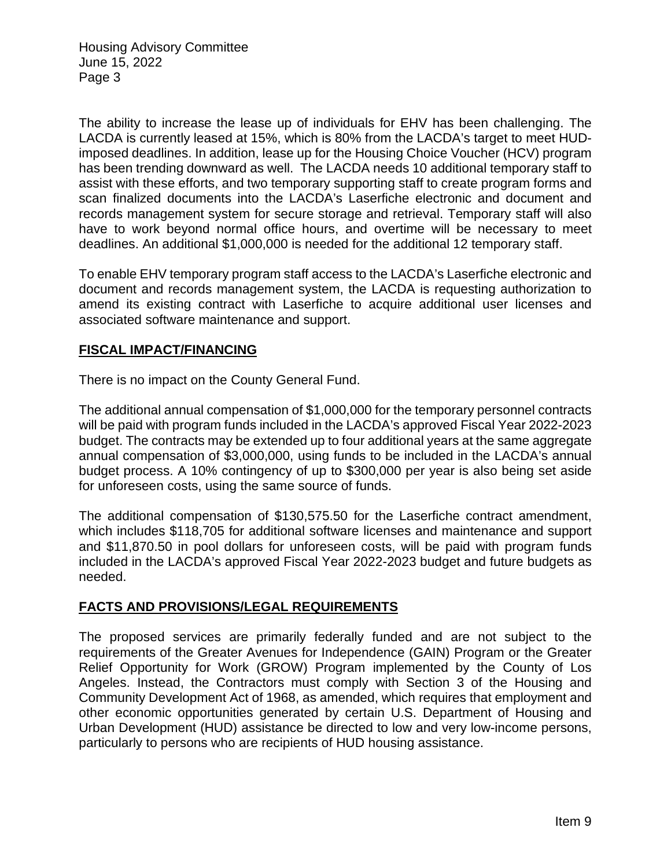The ability to increase the lease up of individuals for EHV has been challenging. The LACDA is currently leased at 15%, which is 80% from the LACDA's target to meet HUDimposed deadlines. In addition, lease up for the Housing Choice Voucher (HCV) program has been trending downward as well. The LACDA needs 10 additional temporary staff to assist with these efforts, and two temporary supporting staff to create program forms and scan finalized documents into the LACDA's Laserfiche electronic and document and records management system for secure storage and retrieval. Temporary staff will also have to work beyond normal office hours, and overtime will be necessary to meet deadlines. An additional \$1,000,000 is needed for the additional 12 temporary staff.

To enable EHV temporary program staff access to the LACDA's Laserfiche electronic and document and records management system, the LACDA is requesting authorization to amend its existing contract with Laserfiche to acquire additional user licenses and associated software maintenance and support.

## **FISCAL IMPACT/FINANCING**

There is no impact on the County General Fund.

The additional annual compensation of \$1,000,000 for the temporary personnel contracts will be paid with program funds included in the LACDA's approved Fiscal Year 2022-2023 budget. The contracts may be extended up to four additional years at the same aggregate annual compensation of \$3,000,000, using funds to be included in the LACDA's annual budget process. A 10% contingency of up to \$300,000 per year is also being set aside for unforeseen costs, using the same source of funds.

The additional compensation of \$130,575.50 for the Laserfiche contract amendment, which includes \$118,705 for additional software licenses and maintenance and support and \$11,870.50 in pool dollars for unforeseen costs, will be paid with program funds included in the LACDA's approved Fiscal Year 2022-2023 budget and future budgets as needed.

## **FACTS AND PROVISIONS/LEGAL REQUIREMENTS**

The proposed services are primarily federally funded and are not subject to the requirements of the Greater Avenues for Independence (GAIN) Program or the Greater Relief Opportunity for Work (GROW) Program implemented by the County of Los Angeles. Instead, the Contractors must comply with Section 3 of the Housing and Community Development Act of 1968, as amended, which requires that employment and other economic opportunities generated by certain U.S. Department of Housing and Urban Development (HUD) assistance be directed to low and very low-income persons, particularly to persons who are recipients of HUD housing assistance.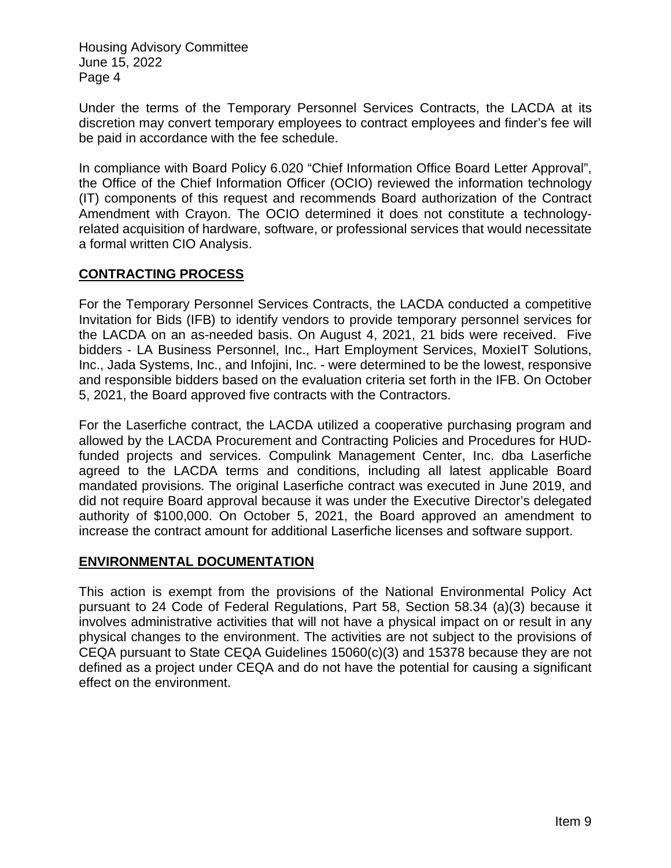Under the terms of the Temporary Personnel Services Contracts, the LACDA at its discretion may convert temporary employees to contract employees and finder's fee will be paid in accordance with the fee schedule.

In compliance with Board Policy 6.020 "Chief Information Office Board Letter Approval", the Office of the Chief Information Officer (OCIO) reviewed the information technology (IT) components of this request and recommends Board authorization of the Contract Amendment with Crayon. The OCIO determined it does not constitute a technologyrelated acquisition of hardware, software, or professional services that would necessitate a formal written CIO Analysis.

## **CONTRACTING PROCESS**

For the Temporary Personnel Services Contracts, the LACDA conducted a competitive Invitation for Bids (IFB) to identify vendors to provide temporary personnel services for the LACDA on an as-needed basis. On August 4, 2021, 21 bids were received. Five bidders - LA Business Personnel, Inc., Hart Employment Services, MoxieIT Solutions, Inc., Jada Systems, Inc., and Infojini, Inc. - were determined to be the lowest, responsive and responsible bidders based on the evaluation criteria set forth in the IFB. On October 5, 2021, the Board approved five contracts with the Contractors.

For the Laserfiche contract, the LACDA utilized a cooperative purchasing program and allowed by the LACDA Procurement and Contracting Policies and Procedures for HUDfunded projects and services. Compulink Management Center, Inc. dba Laserfiche agreed to the LACDA terms and conditions, including all latest applicable Board mandated provisions. The original Laserfiche contract was executed in June 2019, and did not require Board approval because it was under the Executive Director's delegated authority of \$100,000. On October 5, 2021, the Board approved an amendment to increase the contract amount for additional Laserfiche licenses and software support.

## **ENVIRONMENTAL DOCUMENTATION**

This action is exempt from the provisions of the National Environmental Policy Act pursuant to 24 Code of Federal Regulations, Part 58, Section 58.34 (a)(3) because it involves administrative activities that will not have a physical impact on or result in any physical changes to the environment. The activities are not subject to the provisions of CEQA pursuant to State CEQA Guidelines 15060(c)(3) and 15378 because they are not defined as a project under CEQA and do not have the potential for causing a significant effect on the environment.